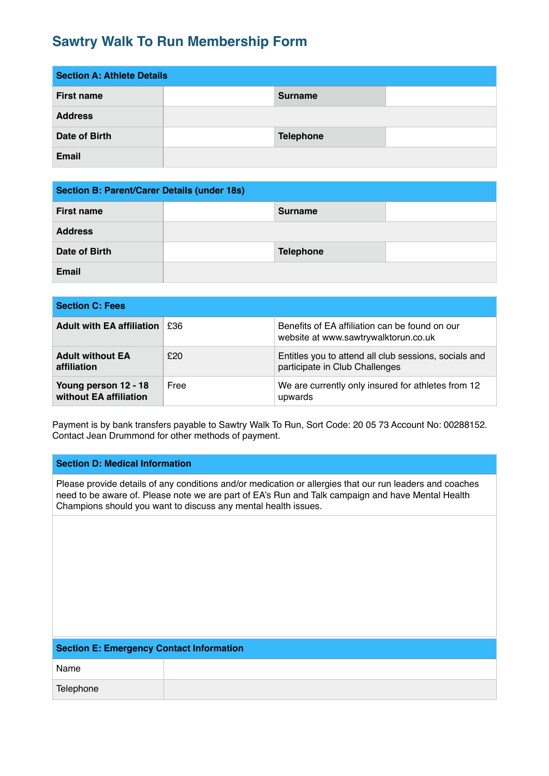# **Sawtry Walk To Run Membership Form**

| <b>Section A: Athlete Details</b> |  |                  |  |
|-----------------------------------|--|------------------|--|
| <b>First name</b>                 |  | <b>Surname</b>   |  |
| <b>Address</b>                    |  |                  |  |
| Date of Birth                     |  | <b>Telephone</b> |  |
| <b>Email</b>                      |  |                  |  |

| <b>Section B: Parent/Carer Details (under 18s)</b> |  |                  |  |
|----------------------------------------------------|--|------------------|--|
| <b>First name</b>                                  |  | <b>Surname</b>   |  |
| <b>Address</b>                                     |  |                  |  |
| Date of Birth                                      |  | <b>Telephone</b> |  |
| <b>Email</b>                                       |  |                  |  |

| <b>Section C: Fees</b>                         |      |                                                                                         |
|------------------------------------------------|------|-----------------------------------------------------------------------------------------|
| <b>Adult with EA affiliation</b>               | £36  | Benefits of EA affiliation can be found on our<br>website at www.sawtrywalktorun.co.uk  |
| <b>Adult without EA</b><br>affiliation         | £20  | Entitles you to attend all club sessions, socials and<br>participate in Club Challenges |
| Young person 12 - 18<br>without EA affiliation | Free | We are currently only insured for athletes from 12<br>upwards                           |

Payment is by bank transfers payable to Sawtry Walk To Run, Sort Code: 20 05 73 Account No: 00288152. Contact Jean Drummond for other methods of payment.

## **Section D: Medical Information**

Please provide details of any conditions and/or medication or allergies that our run leaders and coaches need to be aware of. Please note we are part of EA's Run and Talk campaign and have Mental Health Champions should you want to discuss any mental health issues.

| <b>Section E: Emergency Contact Information</b> |  |  |
|-------------------------------------------------|--|--|
| Name                                            |  |  |
| Telephone                                       |  |  |